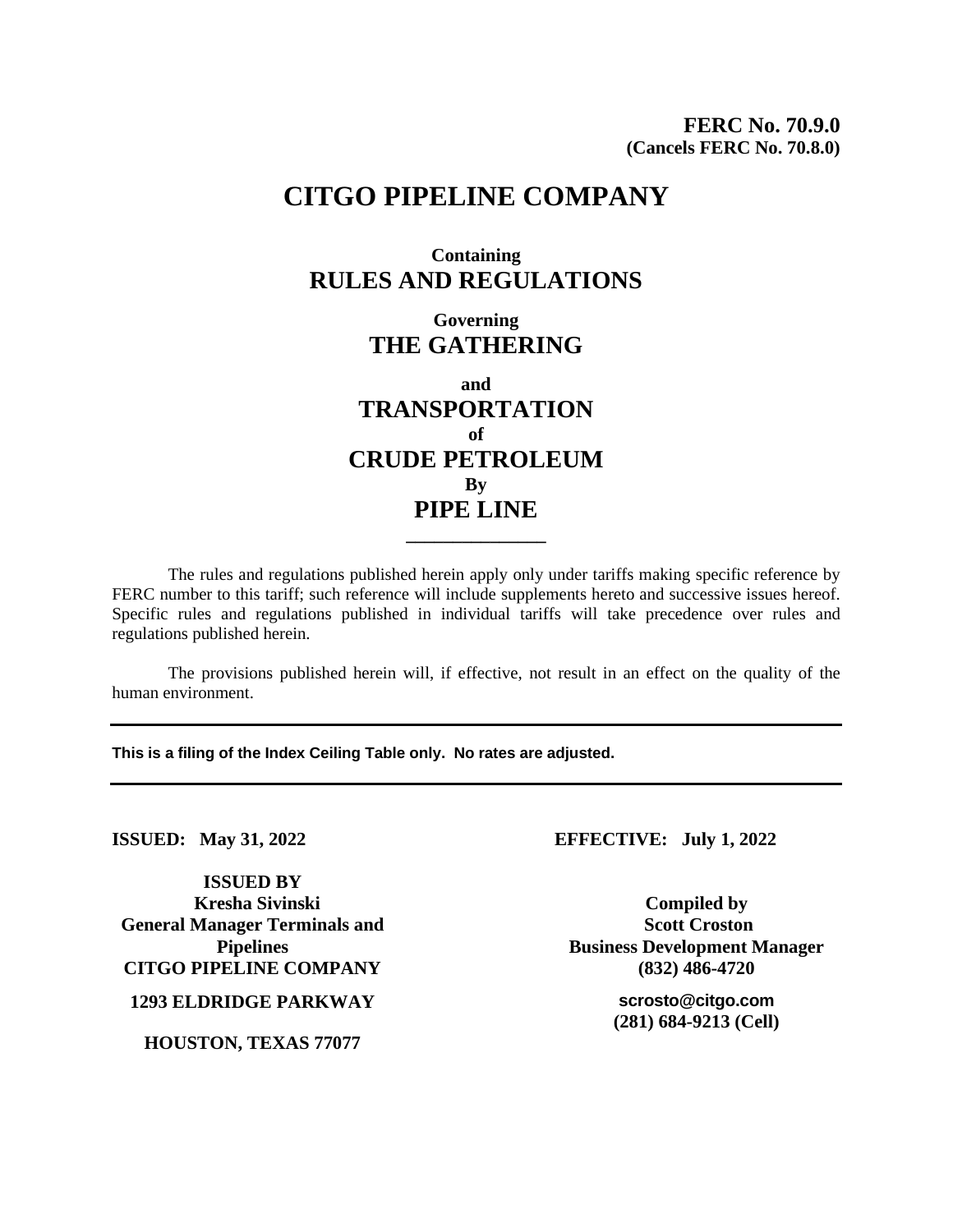# **CITGO PIPELINE COMPANY**

## **Containing RULES AND REGULATIONS**

**Governing THE GATHERING**

**and TRANSPORTATION of CRUDE PETROLEUM By PIPE LINE**

The rules and regulations published herein apply only under tariffs making specific reference by FERC number to this tariff; such reference will include supplements hereto and successive issues hereof. Specific rules and regulations published in individual tariffs will take precedence over rules and regulations published herein.

**\_\_\_\_\_\_\_\_\_\_\_\_\_\_\_**

The provisions published herein will, if effective, not result in an effect on the quality of the human environment.

**This is a filing of the Index Ceiling Table only. No rates are adjusted.**

**ISSUED BY Kresha Sivinski General Manager Terminals and Pipelines CITGO PIPELINE COMPANY (832) 486-4720**

**1293 ELDRIDGE PARKWAY scrosto@citgo.com**

**HOUSTON, TEXAS 77077**

**ISSUED: May 31, 2022 EFFECTIVE: July 1, 2022**

**Compiled by Scott Croston Business Development Manager**

**(281) 684-9213 (Cell)**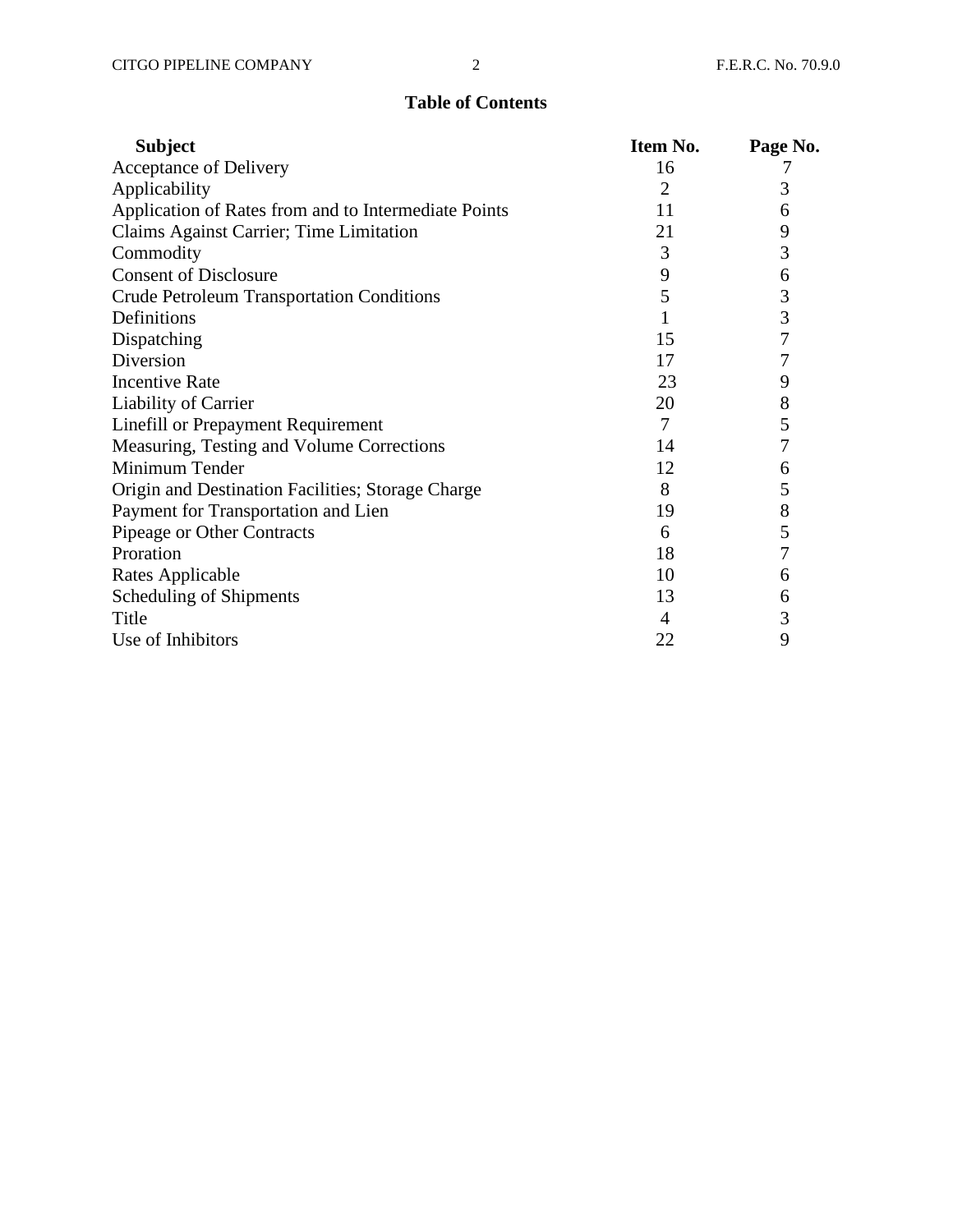### **Table of Contents**

| <b>Subject</b>                                       | Item No. | Page No. |
|------------------------------------------------------|----------|----------|
| Acceptance of Delivery                               | 16       |          |
| Applicability                                        | 2        | 3        |
| Application of Rates from and to Intermediate Points | 11       | 6        |
| Claims Against Carrier; Time Limitation              | 21       | 9        |
| Commodity                                            | 3        | 3        |
| <b>Consent of Disclosure</b>                         | 9        | 6        |
| <b>Crude Petroleum Transportation Conditions</b>     | 5        | 3        |
| Definitions                                          | 1        | 3        |
| Dispatching                                          | 15       | 7        |
| Diversion                                            | 17       | 7        |
| <b>Incentive Rate</b>                                | 23       | 9        |
| Liability of Carrier                                 | 20       | 8        |
| <b>Linefill or Prepayment Requirement</b>            | 7        | 5        |
| Measuring, Testing and Volume Corrections            | 14       | 7        |
| Minimum Tender                                       | 12       | 6        |
| Origin and Destination Facilities; Storage Charge    | 8        | 5        |
| Payment for Transportation and Lien                  | 19       | 8        |
| Pipeage or Other Contracts                           | 6        | 5        |
| Proration                                            | 18       | 7        |
| Rates Applicable                                     | 10       | 6        |
| Scheduling of Shipments                              | 13       | 6        |
| Title                                                | 4        | 3        |
| Use of Inhibitors                                    | 22       | 9        |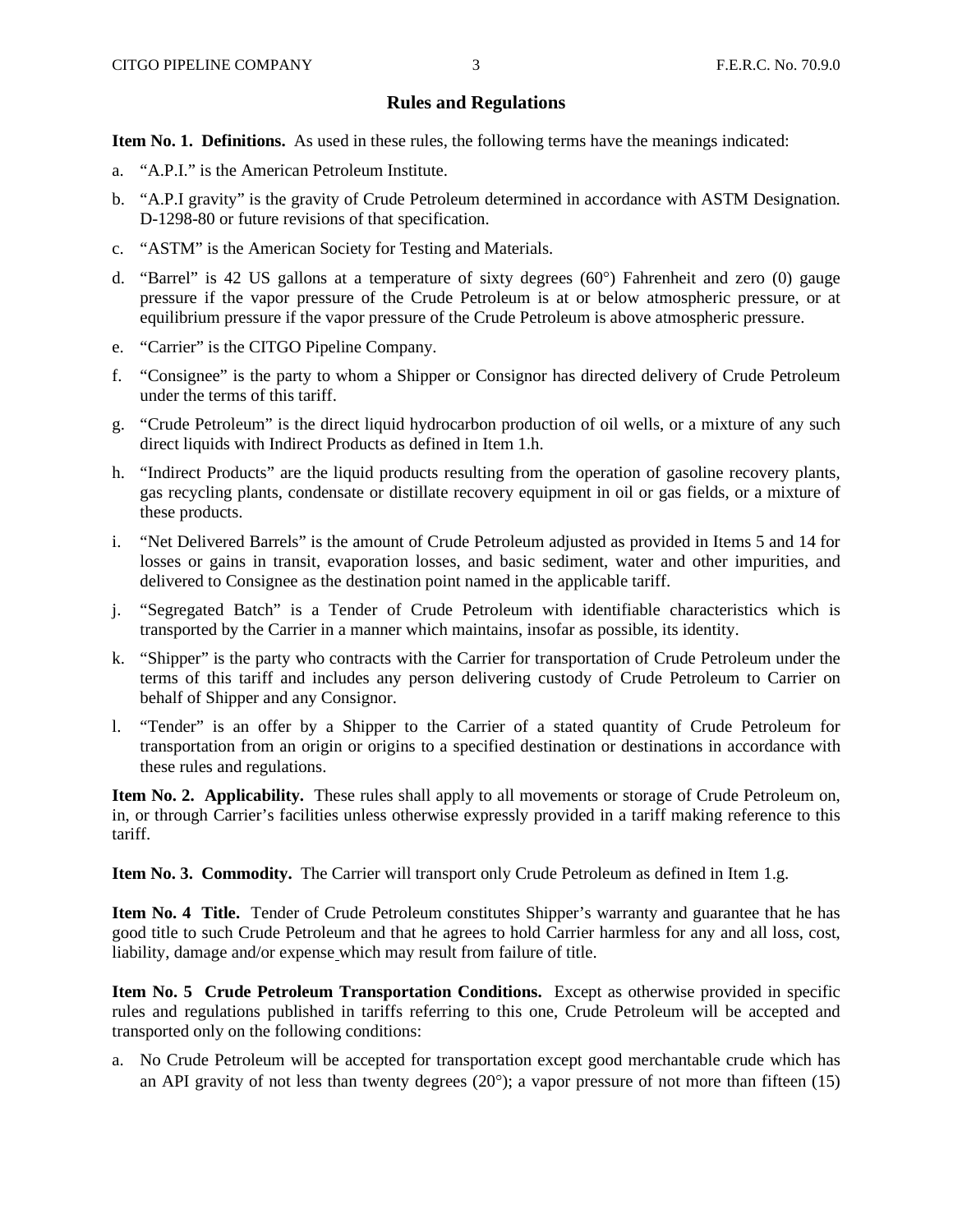#### **Rules and Regulations**

**Item No. 1. Definitions.** As used in these rules, the following terms have the meanings indicated:

- a. "A.P.I." is the American Petroleum Institute.
- b. "A.P.I gravity" is the gravity of Crude Petroleum determined in accordance with ASTM Designation. D-1298-80 or future revisions of that specification.
- c. "ASTM" is the American Society for Testing and Materials.
- d. "Barrel" is 42 US gallons at a temperature of sixty degrees  $(60^{\circ})$  Fahrenheit and zero  $(0)$  gauge pressure if the vapor pressure of the Crude Petroleum is at or below atmospheric pressure, or at equilibrium pressure if the vapor pressure of the Crude Petroleum is above atmospheric pressure.
- e. "Carrier" is the CITGO Pipeline Company.
- f. "Consignee" is the party to whom a Shipper or Consignor has directed delivery of Crude Petroleum under the terms of this tariff.
- g. "Crude Petroleum" is the direct liquid hydrocarbon production of oil wells, or a mixture of any such direct liquids with Indirect Products as defined in Item 1.h.
- h. "Indirect Products" are the liquid products resulting from the operation of gasoline recovery plants, gas recycling plants, condensate or distillate recovery equipment in oil or gas fields, or a mixture of these products.
- i. "Net Delivered Barrels" is the amount of Crude Petroleum adjusted as provided in Items 5 and 14 for losses or gains in transit, evaporation losses, and basic sediment, water and other impurities, and delivered to Consignee as the destination point named in the applicable tariff.
- j. "Segregated Batch" is a Tender of Crude Petroleum with identifiable characteristics which is transported by the Carrier in a manner which maintains, insofar as possible, its identity.
- k. "Shipper" is the party who contracts with the Carrier for transportation of Crude Petroleum under the terms of this tariff and includes any person delivering custody of Crude Petroleum to Carrier on behalf of Shipper and any Consignor.
- l. "Tender" is an offer by a Shipper to the Carrier of a stated quantity of Crude Petroleum for transportation from an origin or origins to a specified destination or destinations in accordance with these rules and regulations.

**Item No. 2. Applicability.** These rules shall apply to all movements or storage of Crude Petroleum on, in, or through Carrier's facilities unless otherwise expressly provided in a tariff making reference to this tariff.

**Item No. 3. Commodity.** The Carrier will transport only Crude Petroleum as defined in Item 1.g.

**Item No. 4 Title.** Tender of Crude Petroleum constitutes Shipper's warranty and guarantee that he has good title to such Crude Petroleum and that he agrees to hold Carrier harmless for any and all loss, cost, liability, damage and/or expense which may result from failure of title.

**Item No. 5 Crude Petroleum Transportation Conditions.** Except as otherwise provided in specific rules and regulations published in tariffs referring to this one, Crude Petroleum will be accepted and transported only on the following conditions:

a. No Crude Petroleum will be accepted for transportation except good merchantable crude which has an API gravity of not less than twenty degrees  $(20^{\circ})$ ; a vapor pressure of not more than fifteen (15)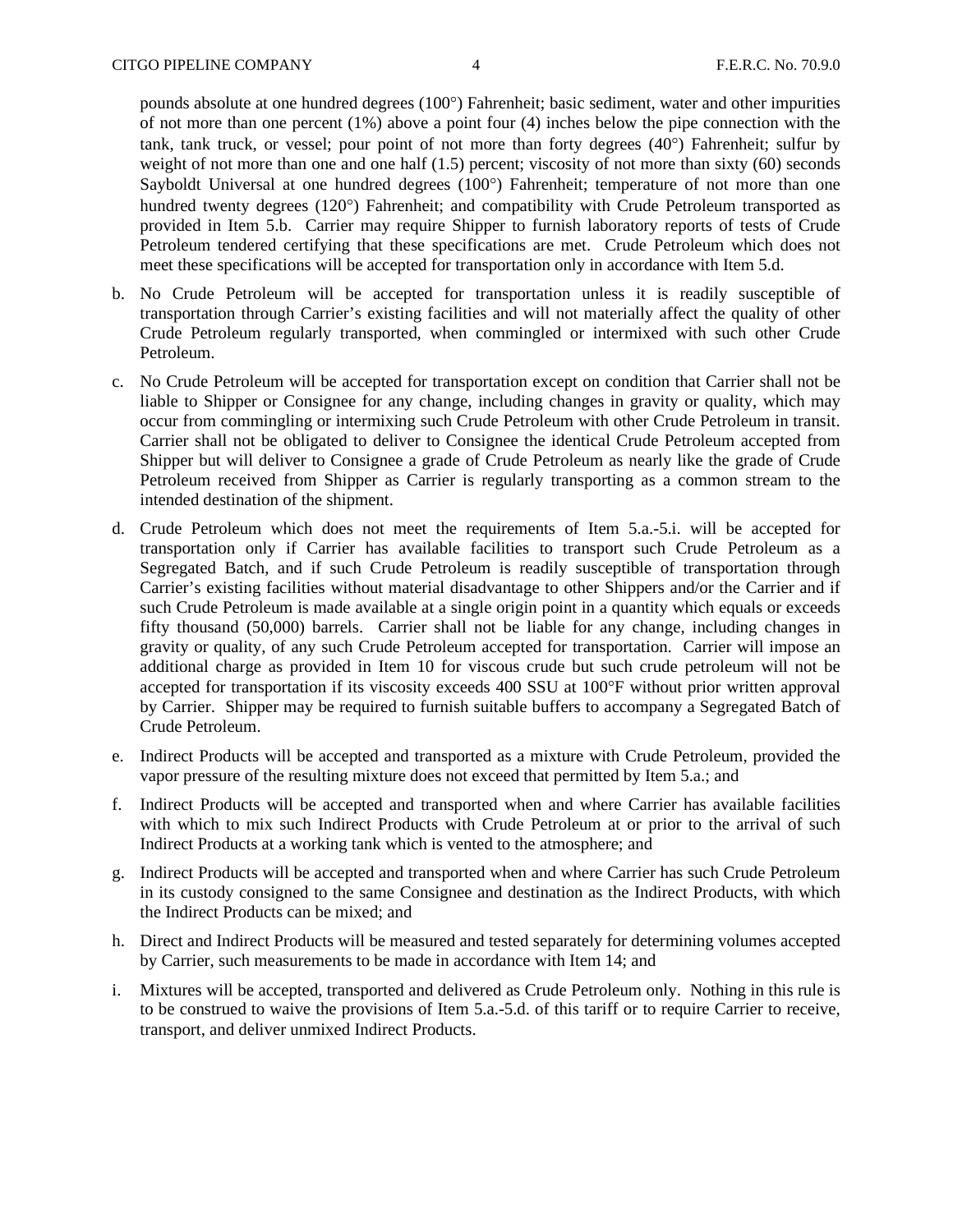pounds absolute at one hundred degrees (100°) Fahrenheit; basic sediment, water and other impurities of not more than one percent (1%) above a point four (4) inches below the pipe connection with the tank, tank truck, or vessel; pour point of not more than forty degrees  $(40^{\circ})$  Fahrenheit; sulfur by weight of not more than one and one half (1.5) percent; viscosity of not more than sixty (60) seconds Sayboldt Universal at one hundred degrees  $(100^{\circ})$  Fahrenheit; temperature of not more than one hundred twenty degrees (120°) Fahrenheit; and compatibility with Crude Petroleum transported as provided in Item 5.b. Carrier may require Shipper to furnish laboratory reports of tests of Crude Petroleum tendered certifying that these specifications are met. Crude Petroleum which does not meet these specifications will be accepted for transportation only in accordance with Item 5.d.

- b. No Crude Petroleum will be accepted for transportation unless it is readily susceptible of transportation through Carrier's existing facilities and will not materially affect the quality of other Crude Petroleum regularly transported, when commingled or intermixed with such other Crude Petroleum.
- c. No Crude Petroleum will be accepted for transportation except on condition that Carrier shall not be liable to Shipper or Consignee for any change, including changes in gravity or quality, which may occur from commingling or intermixing such Crude Petroleum with other Crude Petroleum in transit. Carrier shall not be obligated to deliver to Consignee the identical Crude Petroleum accepted from Shipper but will deliver to Consignee a grade of Crude Petroleum as nearly like the grade of Crude Petroleum received from Shipper as Carrier is regularly transporting as a common stream to the intended destination of the shipment.
- d. Crude Petroleum which does not meet the requirements of Item 5.a.-5.i. will be accepted for transportation only if Carrier has available facilities to transport such Crude Petroleum as a Segregated Batch, and if such Crude Petroleum is readily susceptible of transportation through Carrier's existing facilities without material disadvantage to other Shippers and/or the Carrier and if such Crude Petroleum is made available at a single origin point in a quantity which equals or exceeds fifty thousand (50,000) barrels. Carrier shall not be liable for any change, including changes in gravity or quality, of any such Crude Petroleum accepted for transportation. Carrier will impose an additional charge as provided in Item 10 for viscous crude but such crude petroleum will not be accepted for transportation if its viscosity exceeds 400 SSU at 100°F without prior written approval by Carrier. Shipper may be required to furnish suitable buffers to accompany a Segregated Batch of Crude Petroleum.
- e. Indirect Products will be accepted and transported as a mixture with Crude Petroleum, provided the vapor pressure of the resulting mixture does not exceed that permitted by Item 5.a.; and
- f. Indirect Products will be accepted and transported when and where Carrier has available facilities with which to mix such Indirect Products with Crude Petroleum at or prior to the arrival of such Indirect Products at a working tank which is vented to the atmosphere; and
- g. Indirect Products will be accepted and transported when and where Carrier has such Crude Petroleum in its custody consigned to the same Consignee and destination as the Indirect Products, with which the Indirect Products can be mixed; and
- h. Direct and Indirect Products will be measured and tested separately for determining volumes accepted by Carrier, such measurements to be made in accordance with Item 14; and
- i. Mixtures will be accepted, transported and delivered as Crude Petroleum only. Nothing in this rule is to be construed to waive the provisions of Item 5.a.-5.d. of this tariff or to require Carrier to receive, transport, and deliver unmixed Indirect Products.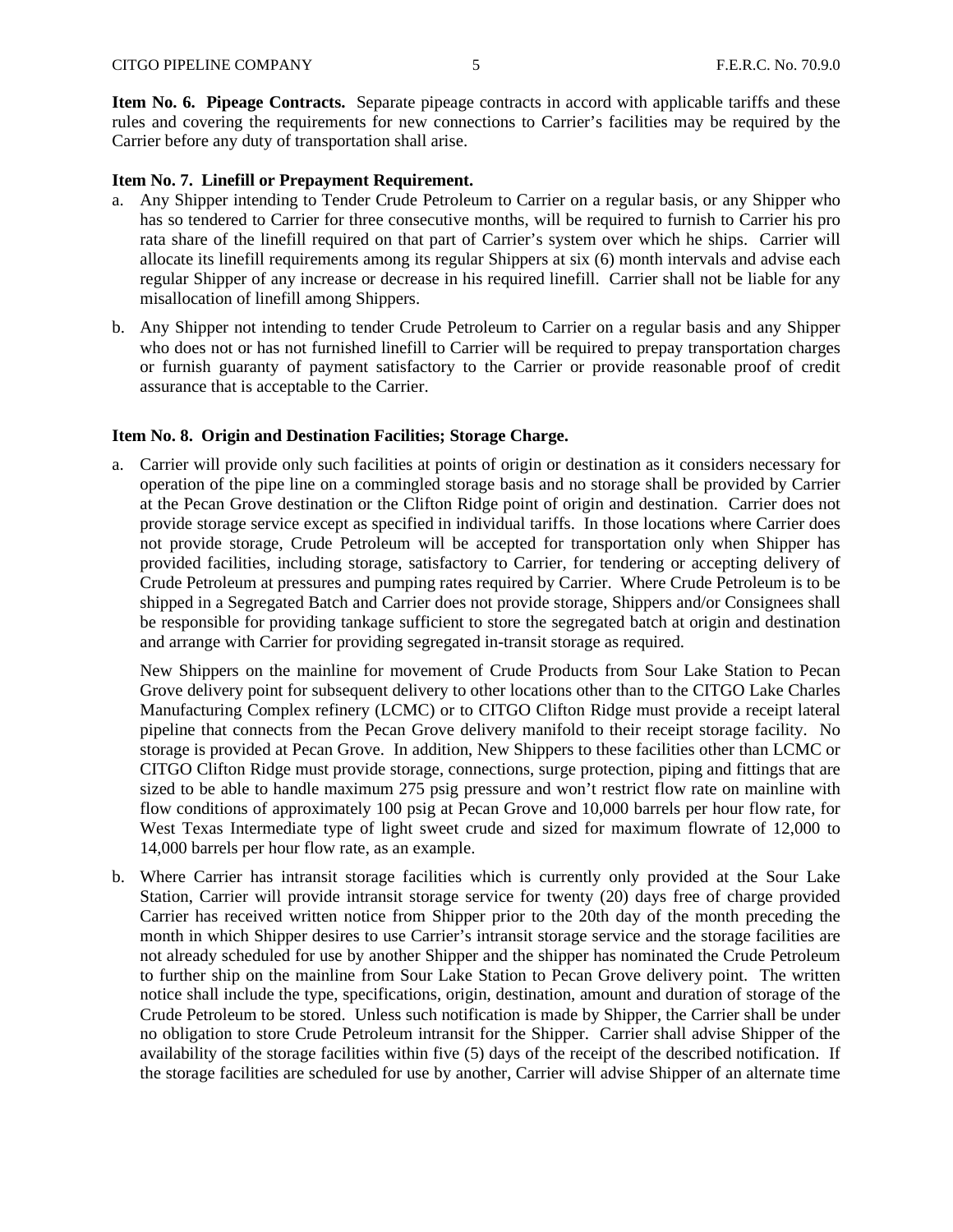**Item No. 6. Pipeage Contracts.** Separate pipeage contracts in accord with applicable tariffs and these rules and covering the requirements for new connections to Carrier's facilities may be required by the Carrier before any duty of transportation shall arise.

#### **Item No. 7. Linefill or Prepayment Requirement.**

- a. Any Shipper intending to Tender Crude Petroleum to Carrier on a regular basis, or any Shipper who has so tendered to Carrier for three consecutive months, will be required to furnish to Carrier his pro rata share of the linefill required on that part of Carrier's system over which he ships. Carrier will allocate its linefill requirements among its regular Shippers at six (6) month intervals and advise each regular Shipper of any increase or decrease in his required linefill. Carrier shall not be liable for any misallocation of linefill among Shippers.
- b. Any Shipper not intending to tender Crude Petroleum to Carrier on a regular basis and any Shipper who does not or has not furnished linefill to Carrier will be required to prepay transportation charges or furnish guaranty of payment satisfactory to the Carrier or provide reasonable proof of credit assurance that is acceptable to the Carrier.

#### **Item No. 8. Origin and Destination Facilities; Storage Charge.**

a. Carrier will provide only such facilities at points of origin or destination as it considers necessary for operation of the pipe line on a commingled storage basis and no storage shall be provided by Carrier at the Pecan Grove destination or the Clifton Ridge point of origin and destination. Carrier does not provide storage service except as specified in individual tariffs. In those locations where Carrier does not provide storage, Crude Petroleum will be accepted for transportation only when Shipper has provided facilities, including storage, satisfactory to Carrier, for tendering or accepting delivery of Crude Petroleum at pressures and pumping rates required by Carrier. Where Crude Petroleum is to be shipped in a Segregated Batch and Carrier does not provide storage, Shippers and/or Consignees shall be responsible for providing tankage sufficient to store the segregated batch at origin and destination and arrange with Carrier for providing segregated in-transit storage as required.

New Shippers on the mainline for movement of Crude Products from Sour Lake Station to Pecan Grove delivery point for subsequent delivery to other locations other than to the CITGO Lake Charles Manufacturing Complex refinery (LCMC) or to CITGO Clifton Ridge must provide a receipt lateral pipeline that connects from the Pecan Grove delivery manifold to their receipt storage facility. No storage is provided at Pecan Grove. In addition, New Shippers to these facilities other than LCMC or CITGO Clifton Ridge must provide storage, connections, surge protection, piping and fittings that are sized to be able to handle maximum 275 psig pressure and won't restrict flow rate on mainline with flow conditions of approximately 100 psig at Pecan Grove and 10,000 barrels per hour flow rate, for West Texas Intermediate type of light sweet crude and sized for maximum flowrate of 12,000 to 14,000 barrels per hour flow rate, as an example.

b. Where Carrier has intransit storage facilities which is currently only provided at the Sour Lake Station, Carrier will provide intransit storage service for twenty (20) days free of charge provided Carrier has received written notice from Shipper prior to the 20th day of the month preceding the month in which Shipper desires to use Carrier's intransit storage service and the storage facilities are not already scheduled for use by another Shipper and the shipper has nominated the Crude Petroleum to further ship on the mainline from Sour Lake Station to Pecan Grove delivery point. The written notice shall include the type, specifications, origin, destination, amount and duration of storage of the Crude Petroleum to be stored. Unless such notification is made by Shipper, the Carrier shall be under no obligation to store Crude Petroleum intransit for the Shipper. Carrier shall advise Shipper of the availability of the storage facilities within five (5) days of the receipt of the described notification. If the storage facilities are scheduled for use by another, Carrier will advise Shipper of an alternate time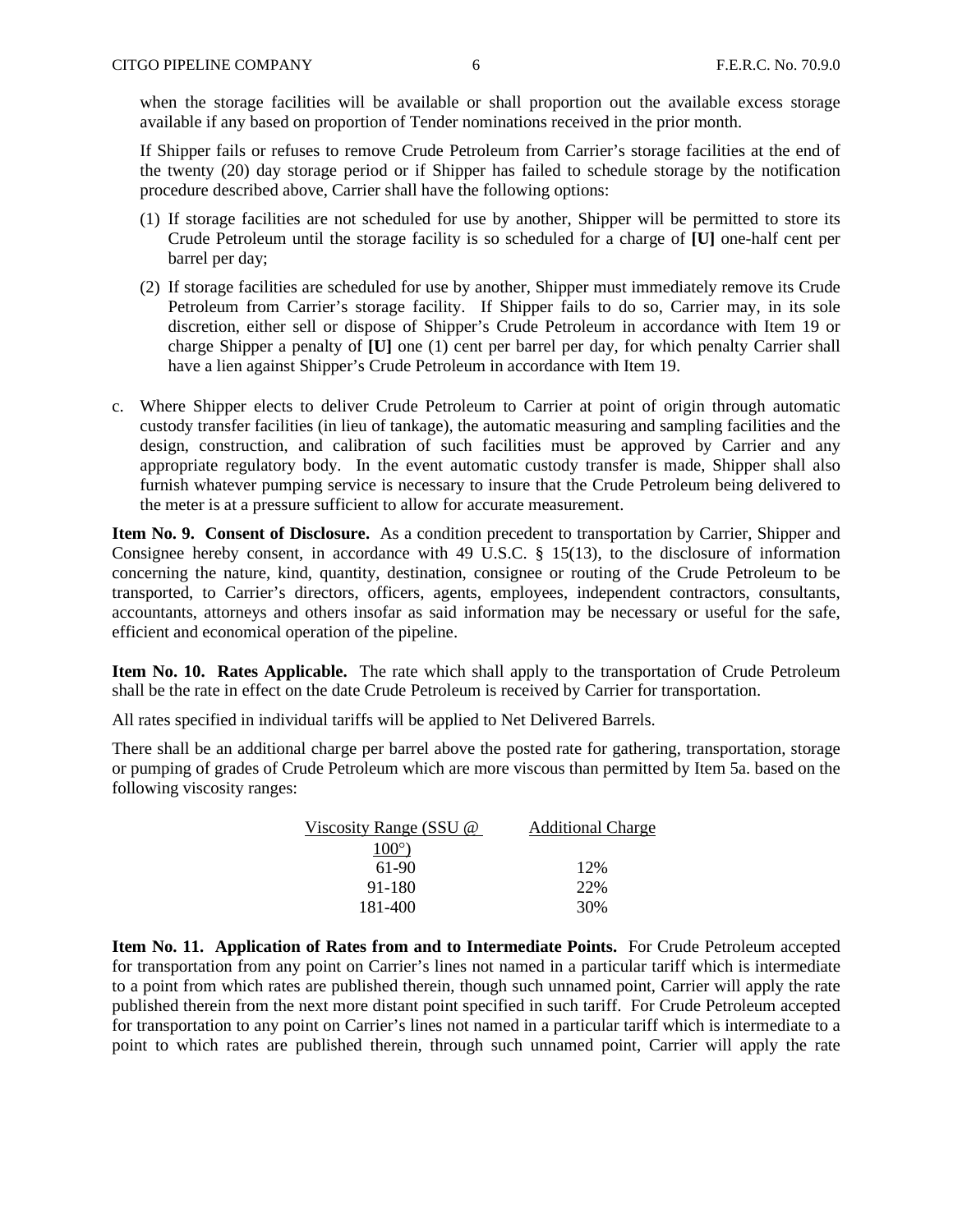when the storage facilities will be available or shall proportion out the available excess storage available if any based on proportion of Tender nominations received in the prior month.

If Shipper fails or refuses to remove Crude Petroleum from Carrier's storage facilities at the end of the twenty (20) day storage period or if Shipper has failed to schedule storage by the notification procedure described above, Carrier shall have the following options:

- (1) If storage facilities are not scheduled for use by another, Shipper will be permitted to store its Crude Petroleum until the storage facility is so scheduled for a charge of **[U]** one-half cent per barrel per day;
- (2) If storage facilities are scheduled for use by another, Shipper must immediately remove its Crude Petroleum from Carrier's storage facility. If Shipper fails to do so, Carrier may, in its sole discretion, either sell or dispose of Shipper's Crude Petroleum in accordance with Item 19 or charge Shipper a penalty of **[U]** one (1) cent per barrel per day, for which penalty Carrier shall have a lien against Shipper's Crude Petroleum in accordance with Item 19.
- c. Where Shipper elects to deliver Crude Petroleum to Carrier at point of origin through automatic custody transfer facilities (in lieu of tankage), the automatic measuring and sampling facilities and the design, construction, and calibration of such facilities must be approved by Carrier and any appropriate regulatory body. In the event automatic custody transfer is made, Shipper shall also furnish whatever pumping service is necessary to insure that the Crude Petroleum being delivered to the meter is at a pressure sufficient to allow for accurate measurement.

**Item No. 9. Consent of Disclosure.** As a condition precedent to transportation by Carrier, Shipper and Consignee hereby consent, in accordance with 49 U.S.C. § 15(13), to the disclosure of information concerning the nature, kind, quantity, destination, consignee or routing of the Crude Petroleum to be transported, to Carrier's directors, officers, agents, employees, independent contractors, consultants, accountants, attorneys and others insofar as said information may be necessary or useful for the safe, efficient and economical operation of the pipeline.

**Item No. 10. Rates Applicable.** The rate which shall apply to the transportation of Crude Petroleum shall be the rate in effect on the date Crude Petroleum is received by Carrier for transportation.

All rates specified in individual tariffs will be applied to Net Delivered Barrels.

There shall be an additional charge per barrel above the posted rate for gathering, transportation, storage or pumping of grades of Crude Petroleum which are more viscous than permitted by Item 5a. based on the following viscosity ranges:

| Viscosity Range (SSU @ | <b>Additional Charge</b> |
|------------------------|--------------------------|
| $100^{\circ}$          |                          |
| 61-90                  | 12%                      |
| 91-180                 | 22%                      |
| 181-400                | 30%                      |

**Item No. 11. Application of Rates from and to Intermediate Points.** For Crude Petroleum accepted for transportation from any point on Carrier's lines not named in a particular tariff which is intermediate to a point from which rates are published therein, though such unnamed point, Carrier will apply the rate published therein from the next more distant point specified in such tariff. For Crude Petroleum accepted for transportation to any point on Carrier's lines not named in a particular tariff which is intermediate to a point to which rates are published therein, through such unnamed point, Carrier will apply the rate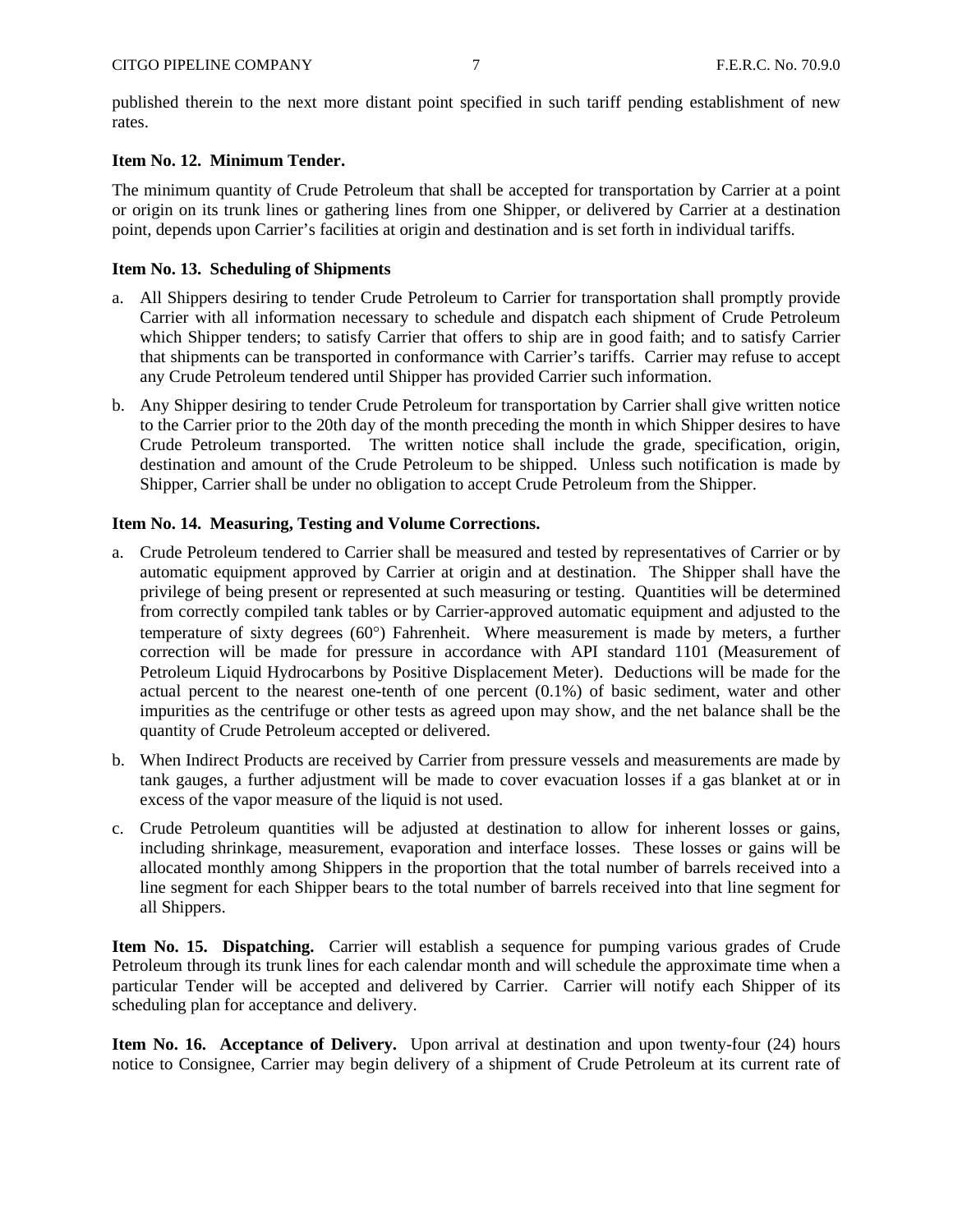published therein to the next more distant point specified in such tariff pending establishment of new rates.

#### **Item No. 12. Minimum Tender.**

The minimum quantity of Crude Petroleum that shall be accepted for transportation by Carrier at a point or origin on its trunk lines or gathering lines from one Shipper, or delivered by Carrier at a destination point, depends upon Carrier's facilities at origin and destination and is set forth in individual tariffs.

#### **Item No. 13. Scheduling of Shipments**

- a. All Shippers desiring to tender Crude Petroleum to Carrier for transportation shall promptly provide Carrier with all information necessary to schedule and dispatch each shipment of Crude Petroleum which Shipper tenders; to satisfy Carrier that offers to ship are in good faith; and to satisfy Carrier that shipments can be transported in conformance with Carrier's tariffs. Carrier may refuse to accept any Crude Petroleum tendered until Shipper has provided Carrier such information.
- b. Any Shipper desiring to tender Crude Petroleum for transportation by Carrier shall give written notice to the Carrier prior to the 20th day of the month preceding the month in which Shipper desires to have Crude Petroleum transported. The written notice shall include the grade, specification, origin, destination and amount of the Crude Petroleum to be shipped. Unless such notification is made by Shipper, Carrier shall be under no obligation to accept Crude Petroleum from the Shipper.

#### **Item No. 14. Measuring, Testing and Volume Corrections.**

- a. Crude Petroleum tendered to Carrier shall be measured and tested by representatives of Carrier or by automatic equipment approved by Carrier at origin and at destination. The Shipper shall have the privilege of being present or represented at such measuring or testing. Quantities will be determined from correctly compiled tank tables or by Carrier-approved automatic equipment and adjusted to the temperature of sixty degrees  $(60^{\circ})$  Fahrenheit. Where measurement is made by meters, a further correction will be made for pressure in accordance with API standard 1101 (Measurement of Petroleum Liquid Hydrocarbons by Positive Displacement Meter). Deductions will be made for the actual percent to the nearest one-tenth of one percent (0.1%) of basic sediment, water and other impurities as the centrifuge or other tests as agreed upon may show, and the net balance shall be the quantity of Crude Petroleum accepted or delivered.
- b. When Indirect Products are received by Carrier from pressure vessels and measurements are made by tank gauges, a further adjustment will be made to cover evacuation losses if a gas blanket at or in excess of the vapor measure of the liquid is not used.
- c. Crude Petroleum quantities will be adjusted at destination to allow for inherent losses or gains, including shrinkage, measurement, evaporation and interface losses. These losses or gains will be allocated monthly among Shippers in the proportion that the total number of barrels received into a line segment for each Shipper bears to the total number of barrels received into that line segment for all Shippers.

**Item No. 15. Dispatching.** Carrier will establish a sequence for pumping various grades of Crude Petroleum through its trunk lines for each calendar month and will schedule the approximate time when a particular Tender will be accepted and delivered by Carrier. Carrier will notify each Shipper of its scheduling plan for acceptance and delivery.

**Item No. 16. Acceptance of Delivery.** Upon arrival at destination and upon twenty-four (24) hours notice to Consignee, Carrier may begin delivery of a shipment of Crude Petroleum at its current rate of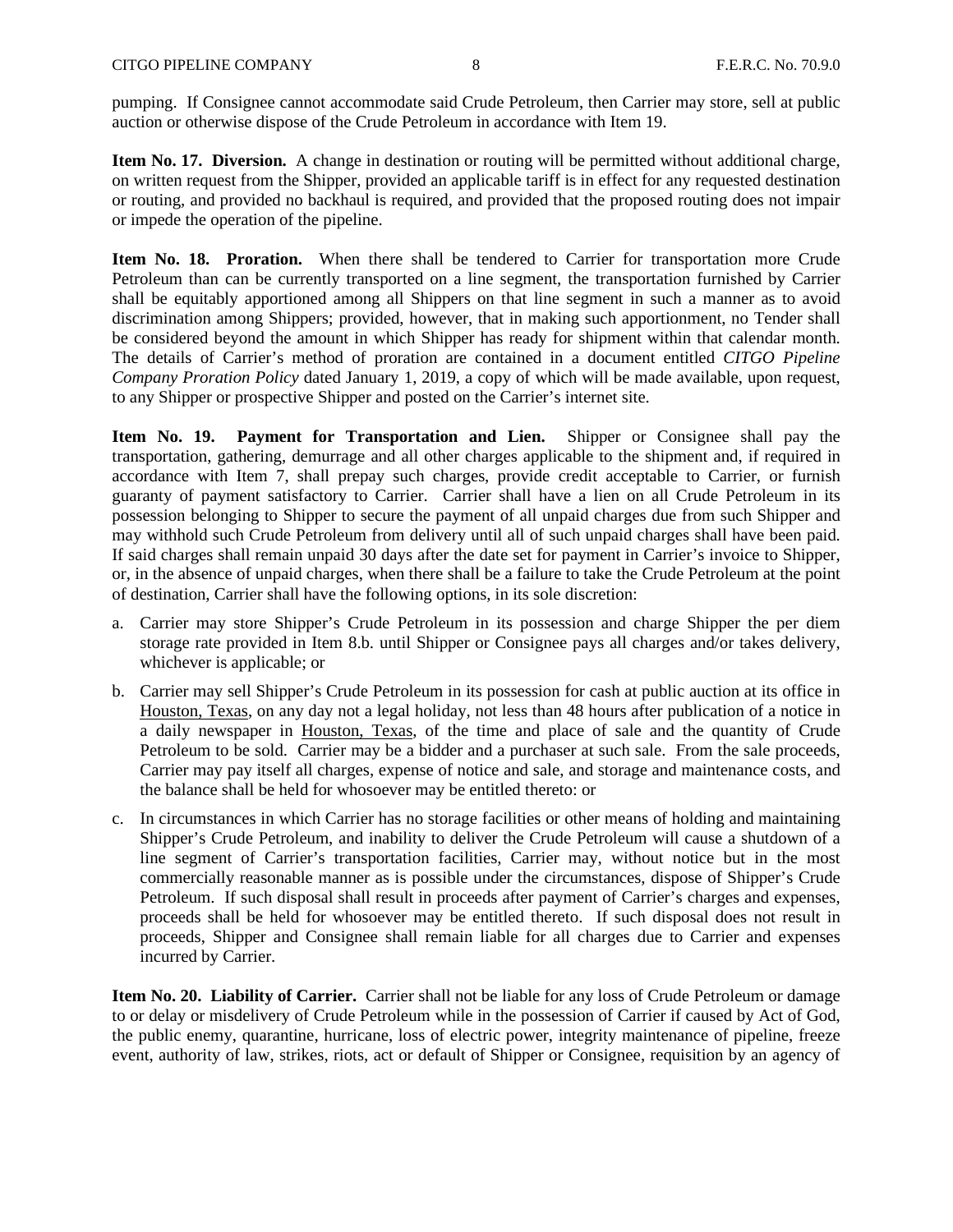pumping. If Consignee cannot accommodate said Crude Petroleum, then Carrier may store, sell at public auction or otherwise dispose of the Crude Petroleum in accordance with Item 19.

**Item No. 17. Diversion.** A change in destination or routing will be permitted without additional charge, on written request from the Shipper, provided an applicable tariff is in effect for any requested destination or routing, and provided no backhaul is required, and provided that the proposed routing does not impair or impede the operation of the pipeline.

**Item No. 18. Proration.** When there shall be tendered to Carrier for transportation more Crude Petroleum than can be currently transported on a line segment, the transportation furnished by Carrier shall be equitably apportioned among all Shippers on that line segment in such a manner as to avoid discrimination among Shippers; provided, however, that in making such apportionment, no Tender shall be considered beyond the amount in which Shipper has ready for shipment within that calendar month. The details of Carrier's method of proration are contained in a document entitled *CITGO Pipeline Company Proration Policy* dated January 1, 2019, a copy of which will be made available, upon request, to any Shipper or prospective Shipper and posted on the Carrier's internet site.

**Item No. 19. Payment for Transportation and Lien.** Shipper or Consignee shall pay the transportation, gathering, demurrage and all other charges applicable to the shipment and, if required in accordance with Item 7, shall prepay such charges, provide credit acceptable to Carrier, or furnish guaranty of payment satisfactory to Carrier. Carrier shall have a lien on all Crude Petroleum in its possession belonging to Shipper to secure the payment of all unpaid charges due from such Shipper and may withhold such Crude Petroleum from delivery until all of such unpaid charges shall have been paid. If said charges shall remain unpaid 30 days after the date set for payment in Carrier's invoice to Shipper, or, in the absence of unpaid charges, when there shall be a failure to take the Crude Petroleum at the point of destination, Carrier shall have the following options, in its sole discretion:

- a. Carrier may store Shipper's Crude Petroleum in its possession and charge Shipper the per diem storage rate provided in Item 8.b. until Shipper or Consignee pays all charges and/or takes delivery, whichever is applicable; or
- b. Carrier may sell Shipper's Crude Petroleum in its possession for cash at public auction at its office in Houston, Texas, on any day not a legal holiday, not less than 48 hours after publication of a notice in a daily newspaper in Houston, Texas, of the time and place of sale and the quantity of Crude Petroleum to be sold. Carrier may be a bidder and a purchaser at such sale. From the sale proceeds, Carrier may pay itself all charges, expense of notice and sale, and storage and maintenance costs, and the balance shall be held for whosoever may be entitled thereto: or
- c. In circumstances in which Carrier has no storage facilities or other means of holding and maintaining Shipper's Crude Petroleum, and inability to deliver the Crude Petroleum will cause a shutdown of a line segment of Carrier's transportation facilities, Carrier may, without notice but in the most commercially reasonable manner as is possible under the circumstances, dispose of Shipper's Crude Petroleum. If such disposal shall result in proceeds after payment of Carrier's charges and expenses, proceeds shall be held for whosoever may be entitled thereto. If such disposal does not result in proceeds, Shipper and Consignee shall remain liable for all charges due to Carrier and expenses incurred by Carrier.

**Item No. 20. Liability of Carrier.** Carrier shall not be liable for any loss of Crude Petroleum or damage to or delay or misdelivery of Crude Petroleum while in the possession of Carrier if caused by Act of God, the public enemy, quarantine, hurricane, loss of electric power, integrity maintenance of pipeline, freeze event, authority of law, strikes, riots, act or default of Shipper or Consignee, requisition by an agency of